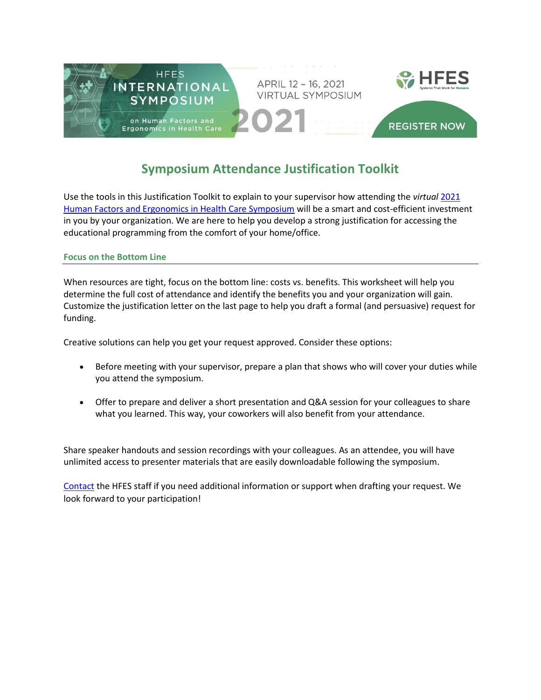

# **Symposium Attendance Justification Toolkit**

Use the tools in this Justification Toolkit to explain to your supervisor how attending the *virtual* [2021](https://www.hcs2021.org/)  [Human Factors and Ergonomics in Health Care Symposium](https://www.hcs2021.org/) will be a smart and cost-efficient investment in you by your organization. We are here to help you develop a strong justification for accessing the educational programming from the comfort of your home/office.

# **Focus on the Bottom Line**

When resources are tight, focus on the bottom line: costs vs. benefits. This worksheet will help you determine the full cost of attendance and identify the benefits you and your organization will gain. Customize the justification letter on the last page to help you draft a formal (and persuasive) request for funding.

Creative solutions can help you get your request approved. Consider these options:

- Before meeting with your supervisor, prepare a plan that shows who will cover your duties while you attend the symposium.
- Offer to prepare and deliver a short presentation and Q&A session for your colleagues to share what you learned. This way, your coworkers will also benefit from your attendance.

Share speaker handouts and session recordings with your colleagues. As an attendee, you will have unlimited access to presenter materials that are easily downloadable following the symposium.

[Contact](mailto:info@hfes.org) the HFES staff if you need additional information or support when drafting your request. We look forward to your participation!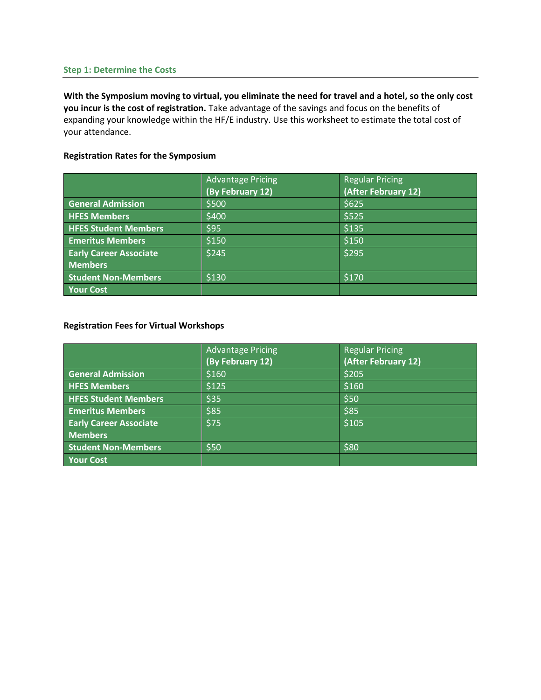#### **Step 1: Determine the Costs**

**With the Symposium moving to virtual, you eliminate the need for travel and a hotel, so the only cost you incur is the cost of registration.** Take advantage of the savings and focus on the benefits of expanding your knowledge within the HF/E industry. Use this worksheet to estimate the total cost of your attendance.

# **Registration Rates for the Symposium**

|                               | <b>Advantage Pricing</b><br>(By February 12) | <b>Regular Pricing</b><br>(After February 12) |
|-------------------------------|----------------------------------------------|-----------------------------------------------|
| <b>General Admission</b>      | \$500                                        | \$625                                         |
| <b>HFES Members</b>           | \$400                                        | \$525                                         |
| <b>HFES Student Members</b>   | \$95                                         | \$135                                         |
| <b>Emeritus Members</b>       | \$150                                        | \$150                                         |
| <b>Early Career Associate</b> | \$245                                        | \$295                                         |
| <b>Members</b>                |                                              |                                               |
| <b>Student Non-Members</b>    | \$130                                        | \$170                                         |
| <b>Your Cost</b>              |                                              |                                               |

# **Registration Fees for Virtual Workshops**

|                               | <b>Advantage Pricing</b> | <b>Regular Pricing</b> |
|-------------------------------|--------------------------|------------------------|
|                               | (By February 12)         | (After February 12)    |
| <b>General Admission</b>      | \$160                    | \$205                  |
| <b>HFES Members</b>           | \$125                    | \$160                  |
| <b>HFES Student Members</b>   | \$35                     | \$50                   |
| <b>Emeritus Members</b>       | \$85                     | \$85                   |
| <b>Early Career Associate</b> | \$75                     | \$105                  |
| <b>Members</b>                |                          |                        |
| <b>Student Non-Members</b>    | \$50                     | \$80                   |
| <b>Your Cost</b>              |                          |                        |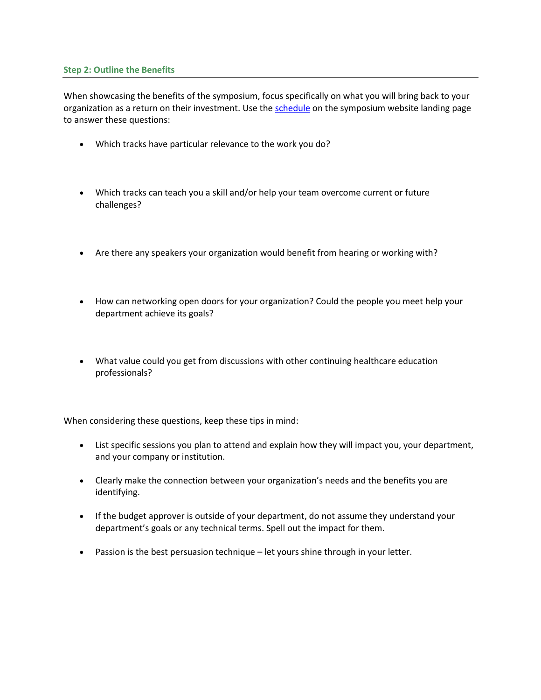# **Step 2: Outline the Benefits**

When showcasing the benefits of the symposium, focus specifically on what you will bring back to your organization as a return on their investment. Use the [schedule](https://www.hcs2021.org/scheduleataglance) on the symposium website landing page to answer these questions:

- Which tracks have particular relevance to the work you do?
- Which tracks can teach you a skill and/or help your team overcome current or future challenges?
- Are there any speakers your organization would benefit from hearing or working with?
- How can networking open doors for your organization? Could the people you meet help your department achieve its goals?
- What value could you get from discussions with other continuing healthcare education professionals?

When considering these questions, keep these tips in mind:

- List specific sessions you plan to attend and explain how they will impact you, your department, and your company or institution.
- Clearly make the connection between your organization's needs and the benefits you are identifying.
- If the budget approver is outside of your department, do not assume they understand your department's goals or any technical terms. Spell out the impact for them.
- Passion is the best persuasion technique let yours shine through in your letter.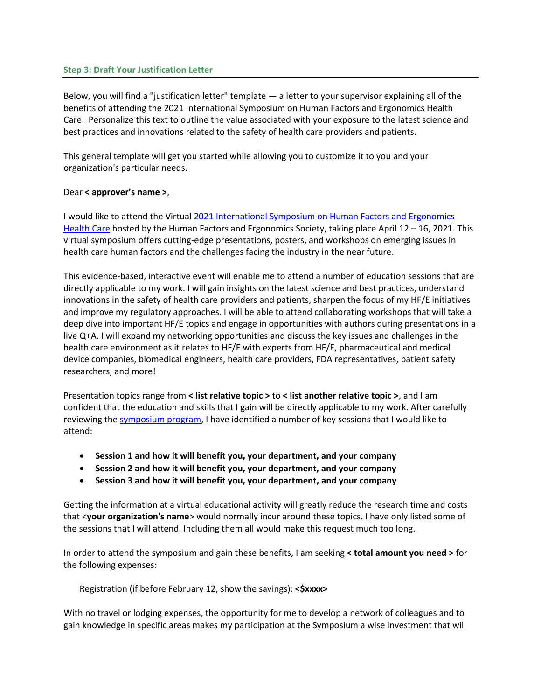# **Step 3: Draft Your Justification Letter**

Below, you will find a "justification letter" template — a letter to your supervisor explaining all of the benefits of attending the 2021 International Symposium on Human Factors and Ergonomics Health Care. Personalize this text to outline the value associated with your exposure to the latest science and best practices and innovations related to the safety of health care providers and patients.

This general template will get you started while allowing you to customize it to you and your organization's particular needs.

# Dear **< approver's name >**,

I would like to attend the Virtual 2021 [International Symposium on Human Factors and Ergonomics](https://www.hcs2021.org/)  [Health Care](https://www.hcs2021.org/) hosted by the Human Factors and Ergonomics Society, taking place April 12 – 16, 2021. This virtual symposium offers cutting-edge presentations, posters, and workshops on emerging issues in health care human factors and the challenges facing the industry in the near future.

This evidence-based, interactive event will enable me to attend a number of education sessions that are directly applicable to my work. I will gain insights on the latest science and best practices, understand innovations in the safety of health care providers and patients, sharpen the focus of my HF/E initiatives and improve my regulatory approaches. I will be able to attend collaborating workshops that will take a deep dive into important HF/E topics and engage in opportunities with authors during presentations in a live Q+A. I will expand my networking opportunities and discuss the key issues and challenges in the health care environment as it relates to HF/E with experts from HF/E, pharmaceutical and medical device companies, biomedical engineers, health care providers, FDA representatives, patient safety researchers, and more!

Presentation topics range from **< list relative topic >** to **< list another relative topic >**, and I am confident that the education and skills that I gain will be directly applicable to my work. After carefully reviewing th[e symposium program,](https://www.hcs2021.org/scheduleataglance) I have identified a number of key sessions that I would like to attend:

- **Session 1 and how it will benefit you, your department, and your company**
- **Session 2 and how it will benefit you, your department, and your company**
- **Session 3 and how it will benefit you, your department, and your company**

Getting the information at a virtual educational activity will greatly reduce the research time and costs that <**your organization's name**> would normally incur around these topics. I have only listed some of the sessions that I will attend. Including them all would make this request much too long.

In order to attend the symposium and gain these benefits, I am seeking **< total amount you need >** for the following expenses:

Registration (if before February 12, show the savings): **<\$xxxx>**

With no travel or lodging expenses, the opportunity for me to develop a network of colleagues and to gain knowledge in specific areas makes my participation at the Symposium a wise investment that will